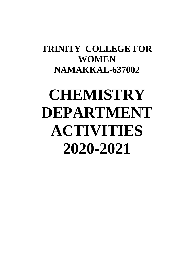## **TRINITY COLLEGE FOR WOMEN NAMAKKAL-637002**

# **CHEMISTRY DEPARTMENT ACTIVITIES 2020-2021**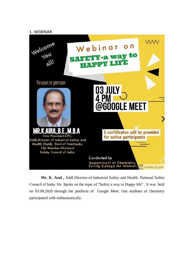#### 1. WEBINAR



**Mr. K. Arul ,** Addl.Director of Industrial Safety and Health, National Safety Council of India. He Spoke on the topic of "Safety a way to Happy life" . It was held on 03.08.2020 through the platform of Google Meet. Our students of chemistry participated with enthusiastically.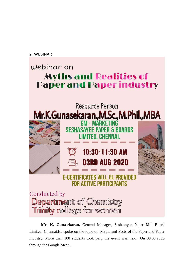2. WEBINAR

## webinar on **Myths and Realities of Paper and Paper industry**



Department of Chemistry Trinity college for women

**Mr. K. Gunasekaran,** General Manager, Seshasayee Paper Mill Board Limited, Chennai.He spoke on the topic of Myths and Facts of the Paper and Paper Industry. More than 100 students took part, the event was held On 03.08.2020 through the Google Meet .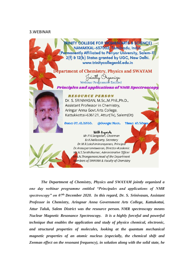#### 3.WEBINAR

**RINITY COLLEGE FOR WOMENI ARTS & SCIENCE)** NAMAKKAL-637002, Tamilnadu, India. (Permanently Affiliated to Periyar University, Salem-11) 2(f) & 12(b) Status granted by UGC, New Delhi. www.trinitycollegenkl.edu.in

partment of Chemistry, Physics and SWAYAM Jointly Organize Principles and applications of NMR Spectroscopy



**RESOURCE PERSON** Dr. S. SRINIVASAN, M.Sc., M.Phil., Ph.D., Assistant Professor in Chemistry, Aringar Anna Govt.Arts College, Kattukkottai-636121, Attur(Tk), Salem(Dt)

acoogie Meet. Date: 07.12.2020. **Time: 10.30am** 



With Regards Mr.P.K.Sengodan, Chairman Er.K.Nallusamy, Secretary Dr.M.R.Lakshiminarayanan, Principal Dr.Arasuparameswaran, Director-Academic Mr.N.S.Senthilkumar, Administrative Officer Mrs.N.Thangamani, Head of the Department Members of SWAYAM & Faculty of Chemistry

*The Department of Chemistry, Physics and SWAYAM jointly organized a one day webinar programme entitled "Principales and applications of NMR spectroscopy" on 07th December 2020. In this regard, Dr. S. Srinivasan, Assistant Professor in Chemistry, Aringnar Anna Government Arts College, Kattukottai, Attur Taluk, Salem District was the resource person. NMR spectroscopy means Nuclear Magnetic Resonance Spectroscopy. It is a highly forceful and powerful technique that enables the application and study of physico chemical, electronic, and structural properties of molecules, looking at the quantum mechanical magnetic properties of an atomic nucleus (especially, the chemical shift and Zeeman effect on the resonant frequency), in solution along with the solid state, he*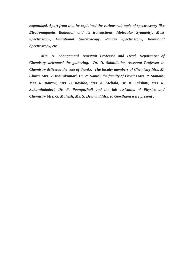*expounded. Apart from that he explained the various sub topic of spectroscopy like Electromagnetic Radiation and its transactions, Molecular Symmetry, Mass Spectroscopy, Vibrational Spectroscopy, Raman Spectroscopy, Rotational Spectroscopy, etc.,*

*Mrs. N. Thangamani, Assistant Professor and Head, Department of Chemistry welcomed the gathering. Dr. D. Sakthilatha, Assistant Professor in Chemistry delivered the vote of thanks. The faculty members of Chemistry Mrs. M. Chitra, Mrs. V. Indirakumari, Dr. N. Santhi, the faculty of Physics Mrs. P. Sumathi, Mrs. R. Bairavi, Mrs. B. Kavitha, Mrs. K. Mehala, Dr. B. Lakshmi, Mrs. R. Sakunthaladevi, Dr. R. Poonguzhali and the lab assistants of Physics and Chemistry Mrs. G. Mahesh, Ms. S. Devi and Mrs. P. Gowthami were present .*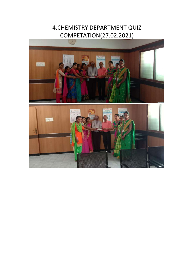### 4.CHEMISTRY DEPARTMENT QUIZ COMPETATION(27.02.2021)